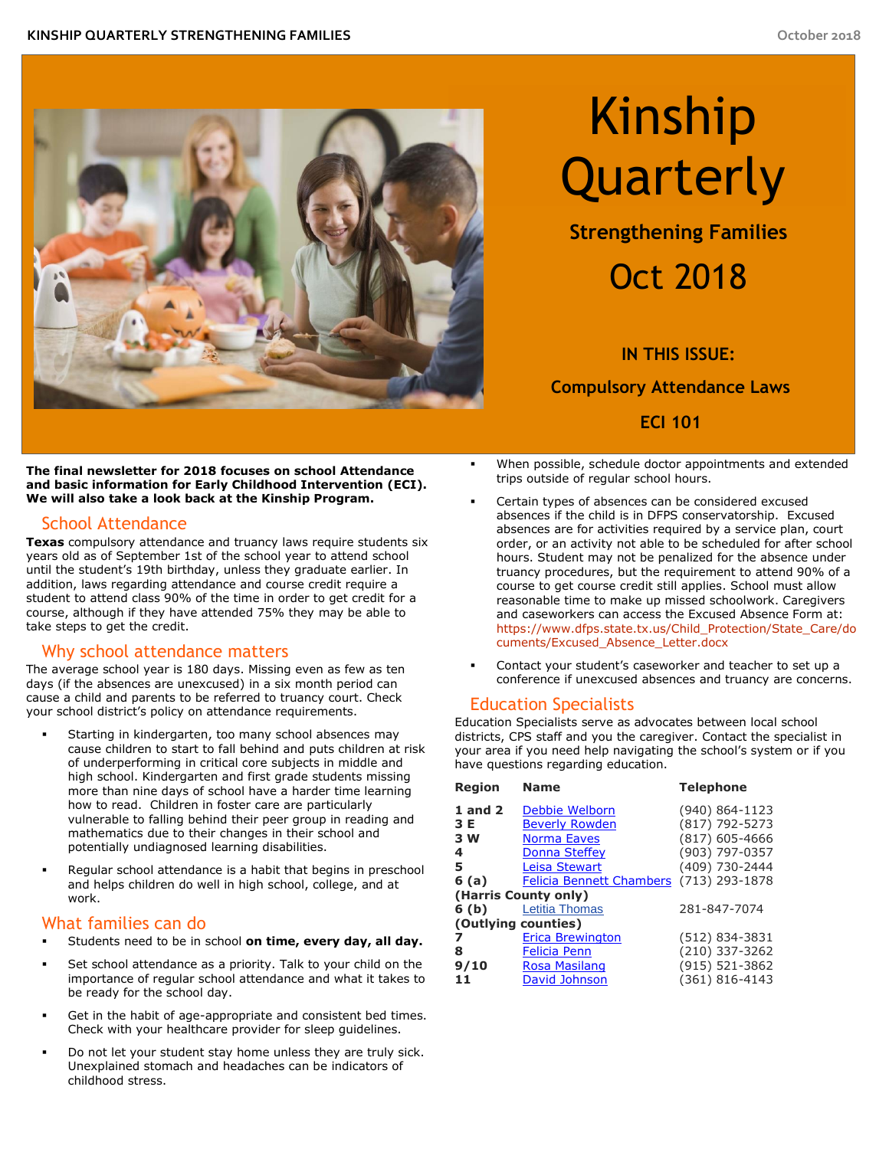

# Kinship Quarterly

**Strengthening Families** 

## Oct 2018

**IN THIS ISSUE: Compulsory Attendance Laws ECI 101** 

 **The final newsletter for 2018 focuses on school Attendance and basic information for Early Childhood Intervention (ECI). We will also take a look back at the Kinship Program.** 

## School Attendance

 **Texas** compulsory attendance and truancy laws require students six years old as of September 1st of the school year to attend school until the student's 19th birthday, unless they graduate earlier. In addition, laws regarding attendance and course credit require a student to attend class 90% of the time in order to get credit for a course, although if they have attended 75% they may be able to take steps to get the credit.

### Why school attendance matters

 The average school year is 180 days. Missing even as few as ten days (if the absences are unexcused) in a six month period can cause a child and parents to be referred to truancy court. Check your school district's policy on attendance requirements.

- Starting in kindergarten, too many school absences may cause children to start to fall behind and puts children at risk of underperforming in critical core subjects in middle and high school. Kindergarten and first grade students missing more than nine days of school have a harder time learning how to read. Children in foster care are particularly vulnerable to falling behind their peer group in reading and mathematics due to their changes in their school and potentially undiagnosed learning disabilities.
- Regular school attendance is a habit that begins in preschool and helps children do well in high school, college, and at work.

## What families can do

- Students need to be in school **on time, every day, all day.**
- Set school attendance as a priority. Talk to your child on the importance of regular school attendance and what it takes to be ready for the school day.
- Get in the habit of age-appropriate and consistent bed times. Check with your healthcare provider for sleep guidelines.
- Do not let your student stay home unless they are truly sick. Unexplained stomach and headaches can be indicators of childhood stress.
- When possible, schedule doctor appointments and extended trips outside of regular school hours.
- Certain types of absences can be considered excused absences if the child is in DFPS conservatorship. Excused absences are for activities required by a service plan, court order, or an activity not able to be scheduled for after school hours. Student may not be penalized for the absence under truancy procedures, but the requirement to attend 90% of a course to get course credit still applies. School must allow reasonable time to make up missed schoolwork. Caregivers and caseworkers can access the Excused Absence Form at: [cuments/Excused\\_Absence\\_Letter.docx](https://www.dfps.state.tx.us/Child_Protection/State_Care/documents/Excused_Absence_Letter.docx) [https://www.dfps.state.tx.us/Child\\_Protection/State\\_Care/do](https://www.dfps.state.tx.us/Child_Protection/State_Care/documents/Excused_Absence_Letter.docx)
- Contact your student's caseworker and teacher to set up a conference if unexcused absences and truancy are concerns.

## Education Specialists

 Education Specialists serve as advocates between local school districts, CPS staff and you the caregiver. Contact the specialist in your area if you need help navigating the school's system or if you have questions regarding education.

| Region               | <b>Name</b>                     | <b>Telephone</b>   |
|----------------------|---------------------------------|--------------------|
| $1$ and $2$          | Debbie Welborn                  | $(940) 864 - 1123$ |
| 3 E                  | <b>Beverly Rowden</b>           | (817) 792-5273     |
| 3 W                  | <b>Norma Eaves</b>              | $(817)$ 605-4666   |
| 4                    | <b>Donna Steffey</b>            | (903) 797-0357     |
| 5                    | <b>Leisa Stewart</b>            | (409) 730-2444     |
| 6 (a)                | <b>Felicia Bennett Chambers</b> | $(713)$ 293-1878   |
| (Harris County only) |                                 |                    |
| 6 (b)                | <b>Letitia Thomas</b>           | 281-847-7074       |
| (Outlying counties)  |                                 |                    |
|                      | <b>Erica Brewington</b>         | (512) 834-3831     |
| 8                    | <b>Felicia Penn</b>             | (210) 337-3262     |
| 9/10                 | <b>Rosa Masilang</b>            | (915) 521-3862     |
| 11                   | David Johnson                   | (361) 816-4143     |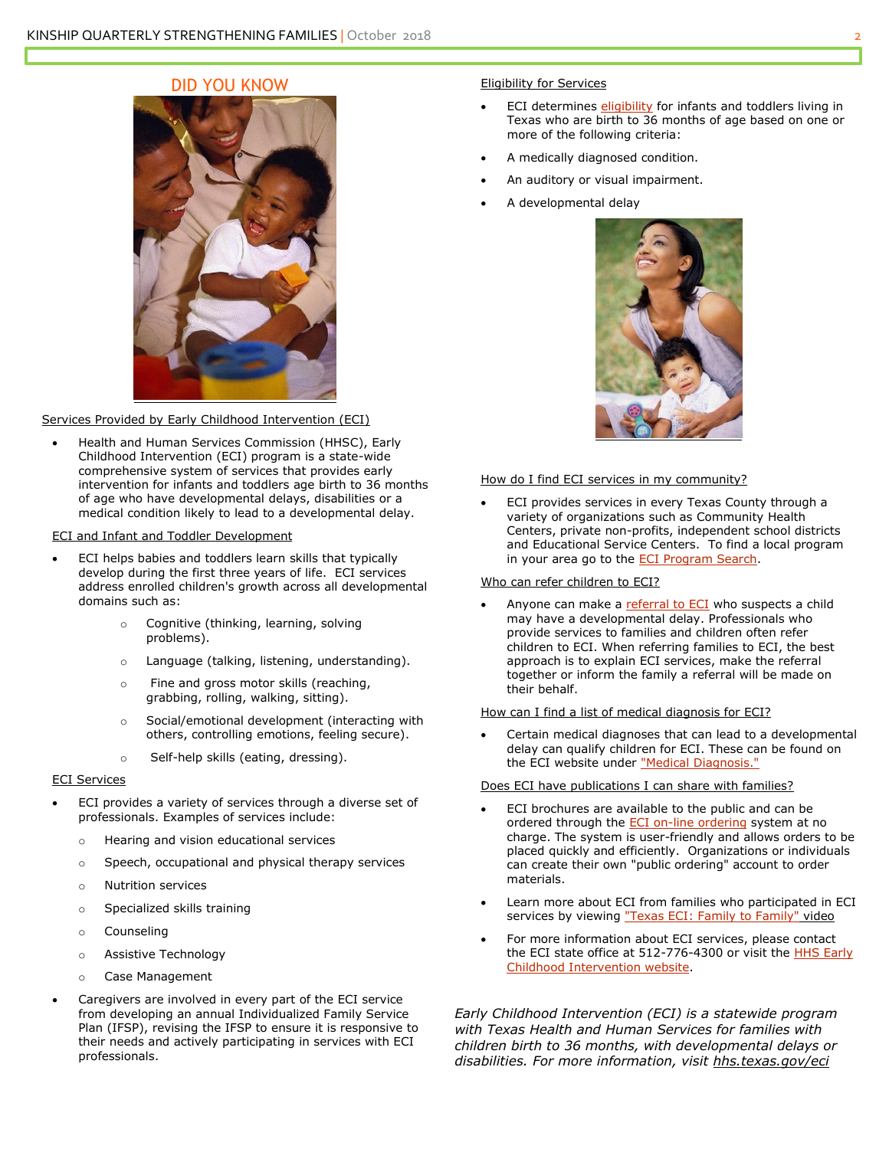### DID YOU KNOW



#### Services Provided by Early Childhood Intervention (ECI)

• Health and Human Services Commission (HHSC), Early Childhood Intervention (ECI) program is a state-wide comprehensive system of services that provides early intervention for infants and toddlers age birth to 36 months of age who have developmental delays, disabilities or a medical condition likely to lead to a developmental delay.

#### ECI and Infant and Toddler Development

- ECI helps babies and toddlers learn skills that typically develop during the first three years of life. ECI services address enrolled children's growth across all developmental domains such as:
	- o Cognitive (thinking, learning, solving problems).
	- o Language (talking, listening, understanding).
	- o Fine and gross motor skills (reaching, grabbing, rolling, walking, sitting).
	- o Social/emotional development (interacting with others, controlling emotions, feeling secure).
	- o Self-help skills (eating, dressing).

#### ECI Services

- ECI provides a variety of services through a diverse set of professionals. Examples of services include:
	- o Hearing and vision educational services
	- o Speech, occupational and physical therapy services
	- o Nutrition services
	- o Specialized skills training
	- o Counseling
	- o Assistive Technology
	- o Case Management
- Caregivers are involved in every part of the ECI service from developing an annual Individualized Family Service Plan (IFSP), revising the IFSP to ensure it is responsive to their needs and actively participating in services with ECI

#### **Eligibility for Services**

- ECI determines *eligibility* for infants and toddlers living in Texas who are birth to 36 months of age based on one or more of the following criteria:
- A medically diagnosed condition.
- An auditory or visual impairment.
- A developmental delay



#### How do I find ECI services in my community?

 ECI provides services in every Texas County through a variety of organizations such as Community Health Centers, private non-profits, independent school districts and Educational Service Centers. To find a local program in your area go to the [ECI Program Search.](https://citysearch.hhsc.state.tx.us/)

#### Who can refer children to ECI?

• Anyone can make a [referral to ECI](https://hhs.texas.gov/services/disability/early-childhood-intervention-services/make-a-referral-eci) who suspects a child may have a developmental delay. Professionals who provide services to families and children often refer children to ECI. When referring families to ECI, the best approach is to explain ECI services, make the referral together or inform the family a referral will be made on their behalf.

#### How can I find a list of medical diagnosis for ECI?

 Certain medical diagnoses that can lead to a developmental delay can qualify children for ECI. These can be found on

## the ECI website under <u>"Medical Diagnosis."</u><br>Does ECI have publications I can share with families?

- ECI brochures are available to the public and can be ordered through the [ECI on-line ordering](https://hhs.texas.gov/doing-business-hhs/provider-portals/assistive-services-providers/early-childhood-intervention-programs/early-childhood-intervention-eci-materials-ordering-systems) system at no charge. The system is user-friendly and allows orders to be placed quickly and efficiently. Organizations or individuals can create their own "public ordering" account to order materials.
- Learn more about ECI from families who participated in ECI services by viewing ["Texas ECI: Family to Family"](https://www.youtube.com/watch?v=BS5hUdK2u0c&feature=youtu.be) video
- For more information about ECI services, please contact the ECI state office at 512-776-4300 or visit the **HHS Early** [Childhood Intervention website.](https://hhs.texas.gov/services/disability/early-childhood-intervention-services)

 *Early Childhood Intervention (ECI) is a statewide program with Texas Health and Human Services for families with children birth to 36 months, with developmental delays or disabilities. For more information, visit [hhs.texas.gov/eci](https://hhs.texas.gov/services/disability/early-childhood-intervention-services)*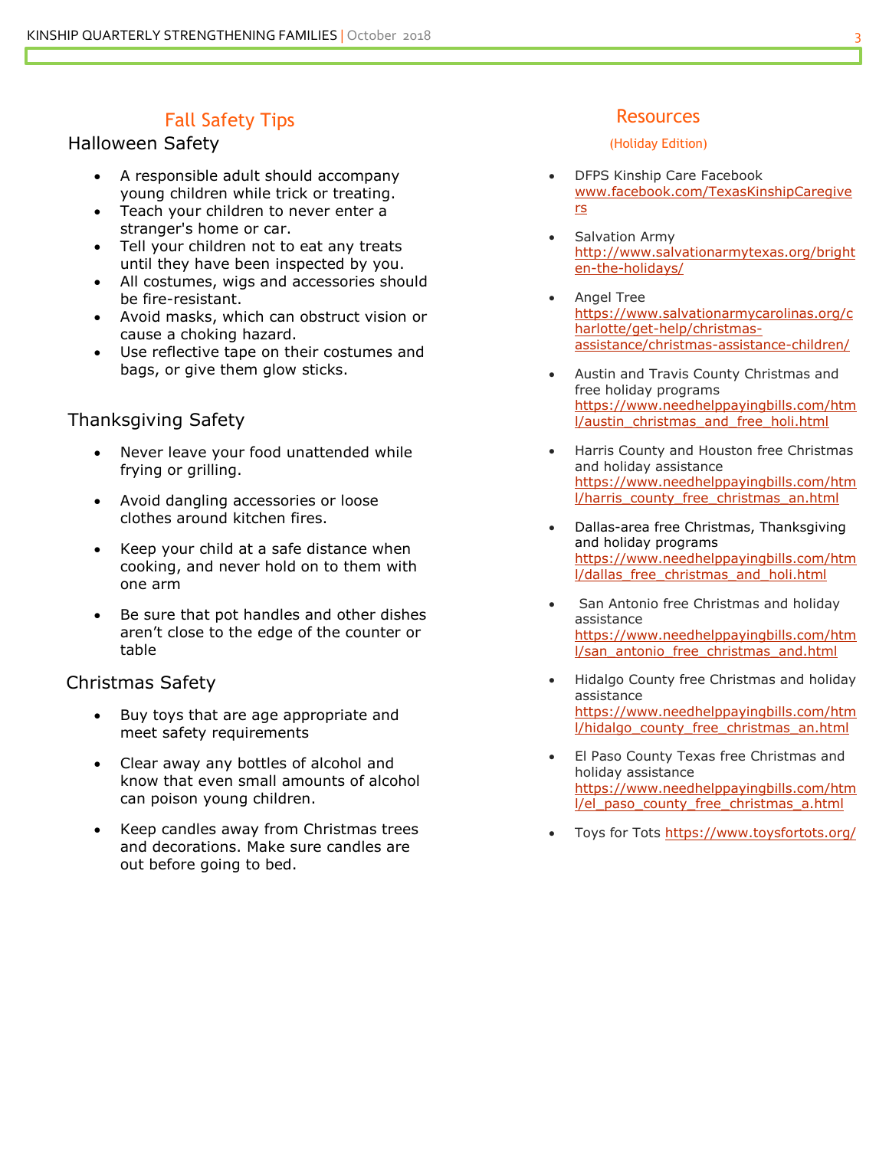## Fall Safety Tips **Resources** Resources

## Halloween Safety **Halloween Safety Example 20** and the state of the CHO (Holiday Edition)

- A responsible adult should accompany young children while trick or treating.
- Teach your children to never enter a stranger's home or car.
- Tell your children not to eat any treats until they have been inspected by you.
- All costumes, wigs and accessories should be fire-resistant.
- Avoid masks, which can obstruct vision or cause a choking hazard.
- Use reflective tape on their costumes and bags, or give them glow sticks.

## Thanksgiving Safety

- Never leave your food unattended while frying or grilling.
- Avoid dangling accessories or loose clothes around kitchen fires.
- Keep your child at a safe distance when cooking, and never hold on to them with one arm
- aren't close to the edge of the counter or Be sure that pot handles and other dishes table

## Christmas Safety

- Buy toys that are age appropriate and meet safety requirements
- Clear away any bottles of alcohol and know that even small amounts of alcohol can poison young children.
- Keep candles away from Christmas trees and decorations. Make sure candles are out before going to bed.

- DFPS Kinship Care Facebook [www.facebook.com/TexasKinshipCaregive](http://www.facebook.com/TexasKinshipCaregivers)  [rs](http://www.facebook.com/TexasKinshipCaregivers)
- Salvation Army [http://www.salvationarmytexas.org/bright](http://www.salvationarmytexas.org/brighten-the-holidays/)  [en-the-holidays/](http://www.salvationarmytexas.org/brighten-the-holidays/)
- Angel Tree [https://www.salvationarmycarolinas.org/c](https://www.salvationarmycarolinas.org/charlotte/get-help/christmas-assistance/christmas-assistance-children/)  [harlotte/get-help/christmas](https://www.salvationarmycarolinas.org/charlotte/get-help/christmas-assistance/christmas-assistance-children/)[assistance/christmas-assistance-children/](https://www.salvationarmycarolinas.org/charlotte/get-help/christmas-assistance/christmas-assistance-children/)
- Austin and Travis County Christmas and free holiday programs [https://www.needhelppayingbills.com/htm](https://www.needhelppayingbills.com/html/austin_christmas_and_free_holi.html)  [l/austin\\_christmas\\_and\\_free\\_holi.html](https://www.needhelppayingbills.com/html/austin_christmas_and_free_holi.html)
- Harris County and Houston free Christmas and holiday assistance [https://www.needhelppayingbills.com/htm](https://www.needhelppayingbills.com/html/harris_county_free_christmas_an.html)  l/harris\_county\_free\_christmas\_an.html
- and holiday programs Dallas-area free Christmas, Thanksgiving [https://www.needhelppayingbills.com/htm](https://www.needhelppayingbills.com/html/dallas_free_christmas_and_holi.html)  [l/dallas\\_free\\_christmas\\_and\\_holi.html](https://www.needhelppayingbills.com/html/dallas_free_christmas_and_holi.html)
- San Antonio free Christmas and holiday assistance [https://www.needhelppayingbills.com/htm](https://www.needhelppayingbills.com/html/san_antonio_free_christmas_and.html)  [l/san\\_antonio\\_free\\_christmas\\_and.html](https://www.needhelppayingbills.com/html/san_antonio_free_christmas_and.html)
- Hidalgo County free Christmas and holiday assistance [https://www.needhelppayingbills.com/htm](https://www.needhelppayingbills.com/html/hidalgo_county_free_christmas_an.html)  [l/hidalgo\\_county\\_free\\_christmas\\_an.html](https://www.needhelppayingbills.com/html/hidalgo_county_free_christmas_an.html)
- El Paso County Texas free Christmas and holiday assistance [https://www.needhelppayingbills.com/htm](https://www.needhelppayingbills.com/html/el_paso_county_free_christmas_a.html)  [l/el\\_paso\\_county\\_free\\_christmas\\_a.html](https://www.needhelppayingbills.com/html/el_paso_county_free_christmas_a.html)
- Toys for Tots<https://www.toysfortots.org/>